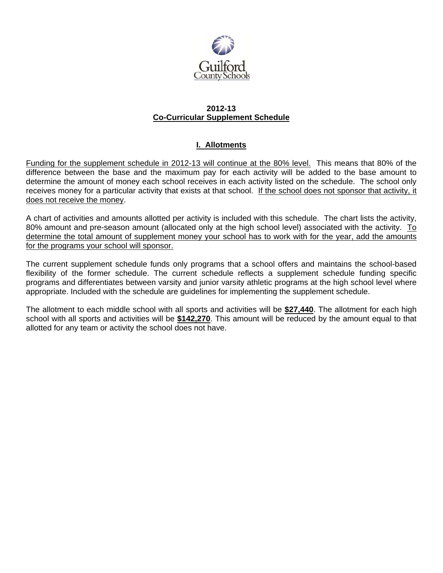

#### **2012-13 Co-Curricular Supplement Schedule**

# **I. Allotments**

Funding for the supplement schedule in 2012-13 will continue at the 80% level. This means that 80% of the difference between the base and the maximum pay for each activity will be added to the base amount to determine the amount of money each school receives in each activity listed on the schedule. The school only receives money for a particular activity that exists at that school. If the school does not sponsor that activity, it does not receive the money.

A chart of activities and amounts allotted per activity is included with this schedule. The chart lists the activity, 80% amount and pre-season amount (allocated only at the high school level) associated with the activity. To determine the total amount of supplement money your school has to work with for the year, add the amounts for the programs your school will sponsor.

The current supplement schedule funds only programs that a school offers and maintains the school-based flexibility of the former schedule. The current schedule reflects a supplement schedule funding specific programs and differentiates between varsity and junior varsity athletic programs at the high school level where appropriate. Included with the schedule are guidelines for implementing the supplement schedule.

The allotment to each middle school with all sports and activities will be **\$27,440**. The allotment for each high school with all sports and activities will be **\$142,270**. This amount will be reduced by the amount equal to that allotted for any team or activity the school does not have.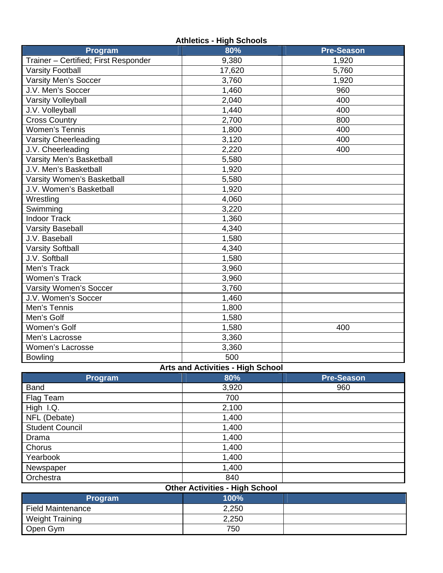| <b>Athletics - High Schools</b>      |        |                   |  |  |  |
|--------------------------------------|--------|-------------------|--|--|--|
| Program                              | 80%    | <b>Pre-Season</b> |  |  |  |
| Trainer - Certified; First Responder | 9,380  | 1,920             |  |  |  |
| <b>Varsity Football</b>              | 17,620 | 5,760             |  |  |  |
| <b>Varsity Men's Soccer</b>          | 3,760  | 1,920             |  |  |  |
| J.V. Men's Soccer                    | 1,460  | 960               |  |  |  |
| <b>Varsity Volleyball</b>            | 2,040  | 400               |  |  |  |
| J.V. Volleyball                      | 1,440  | 400               |  |  |  |
| <b>Cross Country</b>                 | 2,700  | 800               |  |  |  |
| <b>Women's Tennis</b>                | 1,800  | 400               |  |  |  |
| <b>Varsity Cheerleading</b>          | 3,120  | 400               |  |  |  |
| J.V. Cheerleading                    | 2,220  | 400               |  |  |  |
| Varsity Men's Basketball             | 5,580  |                   |  |  |  |
| J.V. Men's Basketball                | 1,920  |                   |  |  |  |
| Varsity Women's Basketball           | 5,580  |                   |  |  |  |
| J.V. Women's Basketball              | 1,920  |                   |  |  |  |
| Wrestling                            | 4,060  |                   |  |  |  |
| Swimming                             | 3,220  |                   |  |  |  |
| <b>Indoor Track</b>                  | 1,360  |                   |  |  |  |
| <b>Varsity Baseball</b>              | 4,340  |                   |  |  |  |
| J.V. Baseball                        | 1,580  |                   |  |  |  |
| <b>Varsity Softball</b>              | 4,340  |                   |  |  |  |
| J.V. Softball                        | 1,580  |                   |  |  |  |
| Men's Track                          | 3,960  |                   |  |  |  |
| Women's Track                        | 3,960  |                   |  |  |  |
| Varsity Women's Soccer               | 3,760  |                   |  |  |  |
| J.V. Women's Soccer                  | 1,460  |                   |  |  |  |
| Men's Tennis                         | 1,800  |                   |  |  |  |
| Men's Golf                           | 1,580  |                   |  |  |  |
| Women's Golf                         | 1,580  | 400               |  |  |  |
| Men's Lacrosse                       | 3,360  |                   |  |  |  |
| Women's Lacrosse                     | 3,360  |                   |  |  |  |
| <b>Bowling</b>                       | 500    |                   |  |  |  |

#### **Arts and Activities - High School**

|                        | ັ     |                   |
|------------------------|-------|-------------------|
| Program                | 80%   | <b>Pre-Season</b> |
| <b>Band</b>            | 3,920 | 960               |
| Flag Team              | 700   |                   |
| High I.Q.              | 2,100 |                   |
| NFL (Debate)           | 1,400 |                   |
| <b>Student Council</b> | 1,400 |                   |
| Drama                  | 1,400 |                   |
| Chorus                 | 1,400 |                   |
| Yearbook               | 1,400 |                   |
| Newspaper              | 1,400 |                   |
| Orchestra              | 840   |                   |

| <b>Other Activities - High School</b> |       |  |  |  |  |  |
|---------------------------------------|-------|--|--|--|--|--|
| <b>Program</b>                        | 100%  |  |  |  |  |  |
| <b>Field Maintenance</b>              | 2,250 |  |  |  |  |  |
| <b>Weight Training</b>                | 2,250 |  |  |  |  |  |
| Open Gym                              | 750   |  |  |  |  |  |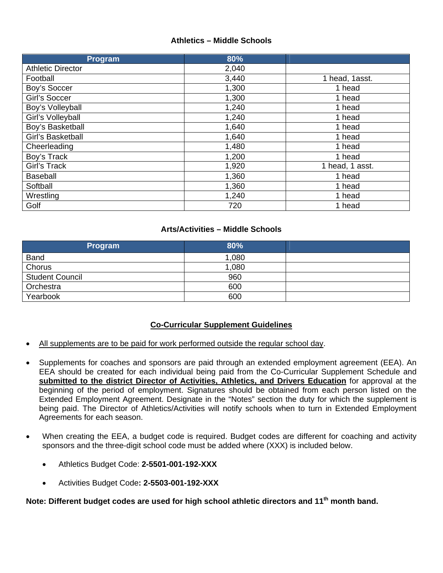### **Athletics – Middle Schools**

| Program                  | 80%   |                 |
|--------------------------|-------|-----------------|
| <b>Athletic Director</b> | 2,040 |                 |
| Football                 | 3,440 | 1 head, 1asst.  |
| Boy's Soccer             | 1,300 | 1 head          |
| Girl's Soccer            | 1,300 | 1 head          |
| Boy's Volleyball         | 1,240 | 1 head          |
| Girl's Volleyball        | 1,240 | 1 head          |
| Boy's Basketball         | 1,640 | 1 head          |
| Girl's Basketball        | 1,640 | 1 head          |
| Cheerleading             | 1,480 | 1 head          |
| Boy's Track              | 1,200 | 1 head          |
| Girl's Track             | 1,920 | 1 head, 1 asst. |
| <b>Baseball</b>          | 1,360 | 1 head          |
| Softball                 | 1,360 | 1 head          |
| Wrestling                | 1,240 | 1 head          |
| Golf                     | 720   | 1 head          |

#### **Arts/Activities – Middle Schools**

| Program                | 80%   |  |
|------------------------|-------|--|
| <b>Band</b>            | 1,080 |  |
| Chorus                 | 1,080 |  |
| <b>Student Council</b> | 960   |  |
| Orchestra              | 600   |  |
| Yearbook               | 600   |  |

## **Co-Curricular Supplement Guidelines**

- All supplements are to be paid for work performed outside the regular school day.
- Supplements for coaches and sponsors are paid through an extended employment agreement (EEA). An EEA should be created for each individual being paid from the Co-Curricular Supplement Schedule and **submitted to the district Director of Activities, Athletics, and Drivers Education** for approval at the beginning of the period of employment. Signatures should be obtained from each person listed on the Extended Employment Agreement. Designate in the "Notes" section the duty for which the supplement is being paid. The Director of Athletics/Activities will notify schools when to turn in Extended Employment Agreements for each season.
- When creating the EEA, a budget code is required. Budget codes are different for coaching and activity sponsors and the three-digit school code must be added where (XXX) is included below.
	- Athletics Budget Code: **2-5501-001-192-XXX**
	- Activities Budget Code**: 2-5503-001-192-XXX**

**Note: Different budget codes are used for high school athletic directors and 11th month band.**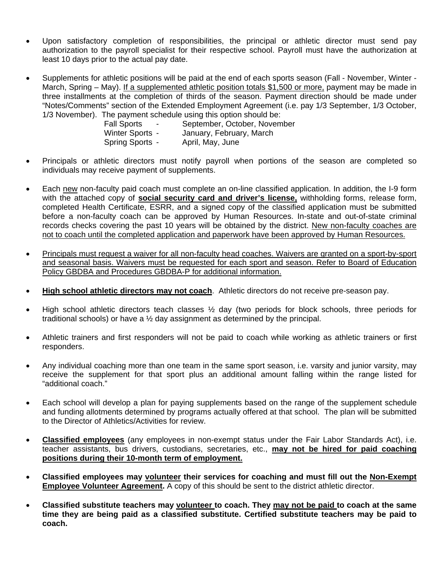- Upon satisfactory completion of responsibilities, the principal or athletic director must send pay authorization to the payroll specialist for their respective school. Payroll must have the authorization at least 10 days prior to the actual pay date.
- Supplements for athletic positions will be paid at the end of each sports season (Fall November, Winter March, Spring – May). If a supplemented athletic position totals \$1,500 or more, payment may be made in three installments at the completion of thirds of the season. Payment direction should be made under "Notes/Comments" section of the Extended Employment Agreement (i.e. pay 1/3 September, 1/3 October, 1/3 November). The payment schedule using this option should be:

| <b>Fall Sports</b><br>$\blacksquare$ | September, October, November |
|--------------------------------------|------------------------------|
| Winter Sports -                      | January, February, March     |
| Spring Sports -                      | April, May, June             |

- Principals or athletic directors must notify payroll when portions of the season are completed so individuals may receive payment of supplements.
- Each new non-faculty paid coach must complete an on-line classified application. In addition, the I-9 form with the attached copy of **social security card and driver's license,** withholding forms, release form, completed Health Certificate, ESRR, and a signed copy of the classified application must be submitted before a non-faculty coach can be approved by Human Resources. In-state and out-of-state criminal records checks covering the past 10 years will be obtained by the district. New non-faculty coaches are not to coach until the completed application and paperwork have been approved by Human Resources.
- Principals must request a waiver for all non-faculty head coaches. Waivers are granted on a sport-by-sport and seasonal basis. Waivers must be requested for each sport and season. Refer to Board of Education Policy GBDBA and Procedures GBDBA-P for additional information.
- **High school athletic directors may not coach**. Athletic directors do not receive pre-season pay.
- High school athletic directors teach classes ½ day (two periods for block schools, three periods for traditional schools) or have a ½ day assignment as determined by the principal.
- Athletic trainers and first responders will not be paid to coach while working as athletic trainers or first responders.
- Any individual coaching more than one team in the same sport season, i.e. varsity and junior varsity, may receive the supplement for that sport plus an additional amount falling within the range listed for "additional coach."
- Each school will develop a plan for paying supplements based on the range of the supplement schedule and funding allotments determined by programs actually offered at that school. The plan will be submitted to the Director of Athletics/Activities for review.
- **Classified employees** (any employees in non-exempt status under the Fair Labor Standards Act), i.e. teacher assistants, bus drivers, custodians, secretaries, etc., **may not be hired for paid coaching positions during their 10-month term of employment.**
- **Classified employees may volunteer their services for coaching and must fill out the Non-Exempt Employee Volunteer Agreement.** A copy of this should be sent to the district athletic director.
- **Classified substitute teachers may volunteer to coach. They may not be paid to coach at the same time they are being paid as a classified substitute. Certified substitute teachers may be paid to coach.**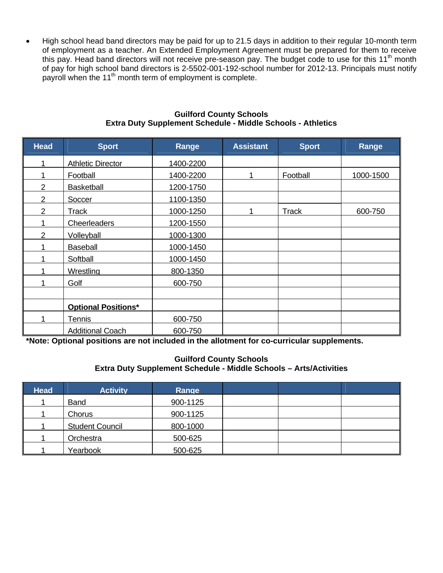High school head band directors may be paid for up to 21.5 days in addition to their regular 10-month term of employment as a teacher. An Extended Employment Agreement must be prepared for them to receive this pay. Head band directors will not receive pre-season pay. The budget code to use for this 11<sup>th</sup> month of pay for high school band directors is 2-5502-001-192-school number for 2012-13. Principals must notify payroll when the 11<sup>th</sup> month term of employment is complete.

| <b>Head</b>    | <b>Sport</b>               | Range     | <b>Assistant</b> | <b>Sport</b> | Range     |
|----------------|----------------------------|-----------|------------------|--------------|-----------|
|                | <b>Athletic Director</b>   | 1400-2200 |                  |              |           |
|                | Football                   | 1400-2200 |                  | Football     | 1000-1500 |
| $\overline{2}$ | <b>Basketball</b>          | 1200-1750 |                  |              |           |
| $\overline{2}$ | Soccer                     | 1100-1350 |                  |              |           |
| $\overline{2}$ | Track                      | 1000-1250 |                  | <b>Track</b> | 600-750   |
|                | Cheerleaders               | 1200-1550 |                  |              |           |
| $\overline{2}$ | Volleyball                 | 1000-1300 |                  |              |           |
|                | <b>Baseball</b>            | 1000-1450 |                  |              |           |
|                | Softball                   | 1000-1450 |                  |              |           |
|                | Wrestling                  | 800-1350  |                  |              |           |
|                | Golf                       | 600-750   |                  |              |           |
|                |                            |           |                  |              |           |
|                | <b>Optional Positions*</b> |           |                  |              |           |
|                | Tennis                     | 600-750   |                  |              |           |
|                | <b>Additional Coach</b>    | 600-750   |                  |              |           |

#### **Guilford County Schools Extra Duty Supplement Schedule - Middle Schools - Athletics**

**\*Note: Optional positions are not included in the allotment for co-curricular supplements.** 

#### **Guilford County Schools Extra Duty Supplement Schedule - Middle Schools – Arts/Activities**

| <b>Head</b> | <b>Activity</b>        | Range    |  |  |
|-------------|------------------------|----------|--|--|
|             | <b>Band</b>            | 900-1125 |  |  |
|             | Chorus                 | 900-1125 |  |  |
|             | <b>Student Council</b> | 800-1000 |  |  |
|             | Orchestra              | 500-625  |  |  |
|             | Yearbook               | 500-625  |  |  |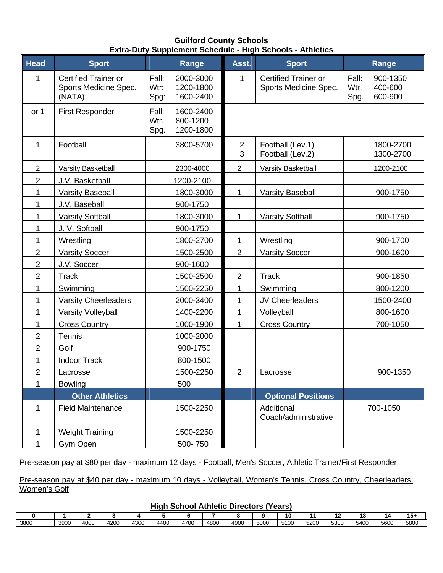## **Guilford County Schools Extra-Duty Supplement Schedule - High Schools - Athletics**

| <b>Head</b>    | <b>Sport</b>                                                   | Range                                                        | Asst.               | <b>Sport</b>                                         | Range                                                   |
|----------------|----------------------------------------------------------------|--------------------------------------------------------------|---------------------|------------------------------------------------------|---------------------------------------------------------|
| 1              | <b>Certified Trainer or</b><br>Sports Medicine Spec.<br>(NATA) | Fall:<br>2000-3000<br>Wtr:<br>1200-1800<br>1600-2400<br>Spg: | 1                   | <b>Certified Trainer or</b><br>Sports Medicine Spec. | 900-1350<br>Fall:<br>400-600<br>Wtr.<br>600-900<br>Spg. |
| or 1           | <b>First Responder</b>                                         | Fall:<br>1600-2400<br>Wtr.<br>800-1200<br>1200-1800<br>Spg.  |                     |                                                      |                                                         |
| 1              | Football                                                       | 3800-5700                                                    | $\overline{2}$<br>3 | Football (Lev.1)<br>Football (Lev.2)                 | 1800-2700<br>1300-2700                                  |
| $\overline{2}$ | Varsity Basketball                                             | 2300-4000                                                    | $\overline{2}$      | Varsity Basketball                                   | 1200-2100                                               |
| 2              | J.V. Basketball                                                | 1200-2100                                                    |                     |                                                      |                                                         |
| 1              | <b>Varsity Baseball</b>                                        | 1800-3000                                                    | $\mathbf 1$         | <b>Varsity Baseball</b>                              | 900-1750                                                |
| 1              | J.V. Baseball                                                  | 900-1750                                                     |                     |                                                      |                                                         |
| 1              | <b>Varsity Softball</b>                                        | 1800-3000                                                    | $\mathbf{1}$        | <b>Varsity Softball</b>                              | 900-1750                                                |
| 1              | J. V. Softball                                                 | 900-1750                                                     |                     |                                                      |                                                         |
| 1              | Wrestling                                                      | 1800-2700                                                    | 1                   | Wrestling                                            | 900-1700                                                |
| $\overline{2}$ | <b>Varsity Soccer</b>                                          | 1500-2500                                                    | $\overline{2}$      | <b>Varsity Soccer</b>                                | 900-1600                                                |
| $\overline{2}$ | J.V. Soccer                                                    | 900-1600                                                     |                     |                                                      |                                                         |
| 2              | Track                                                          | 1500-2500                                                    | $\overline{2}$      | <b>Track</b>                                         | 900-1850                                                |
| 1              | Swimming                                                       | 1500-2250                                                    | 1                   | Swimming                                             | 800-1200                                                |
| 1              | <b>Varsity Cheerleaders</b>                                    | 2000-3400                                                    | 1                   | JV Cheerleaders                                      | 1500-2400                                               |
| 1              | Varsity Volleyball                                             | 1400-2200                                                    | 1                   | Volleyball                                           | 800-1600                                                |
| 1              | <b>Cross Country</b>                                           | 1000-1900                                                    | 1                   | <b>Cross Country</b>                                 | 700-1050                                                |
| 2              | Tennis                                                         | 1000-2000                                                    |                     |                                                      |                                                         |
| $\overline{2}$ | Golf                                                           | 900-1750                                                     |                     |                                                      |                                                         |
| 1              | <b>Indoor Track</b>                                            | 800-1500                                                     |                     |                                                      |                                                         |
| 2              | Lacrosse                                                       | 1500-2250                                                    | $\overline{2}$      | Lacrosse                                             | 900-1350                                                |
| 1              | <b>Bowling</b>                                                 | 500                                                          |                     |                                                      |                                                         |
|                | <b>Other Athletics</b>                                         |                                                              |                     | <b>Optional Positions</b>                            |                                                         |
| 1              | <b>Field Maintenance</b>                                       | 1500-2250                                                    |                     | Additional<br>Coach/administrative                   | 700-1050                                                |
| 1              | <b>Weight Training</b>                                         | 1500-2250                                                    |                     |                                                      |                                                         |
| 1              | Gym Open                                                       | 500-750                                                      |                     |                                                      |                                                         |

## Pre-season pay at \$80 per day - maximum 12 days - Football, Men's Soccer, Athletic Trainer/First Responder

Pre-season pay at \$40 per day - maximum 10 days - Volleyball, Women's Tennis, Cross Country, Cheerleaders, Women's Golf

## **High School Athletic Directors (Years)**

|      |      |      |      |      | --   |      |      |      |      |      |      |      |      |      |      |
|------|------|------|------|------|------|------|------|------|------|------|------|------|------|------|------|
|      |      |      |      |      |      |      |      |      |      | 10   |      | . .  | . .  | 1Д   | 151  |
| 3800 | 3900 | 4000 | 4200 | 4300 | 4400 | 4700 | 4800 | 4900 | 5000 | 5100 | 5200 | 5300 | 5400 | 5600 | 5800 |